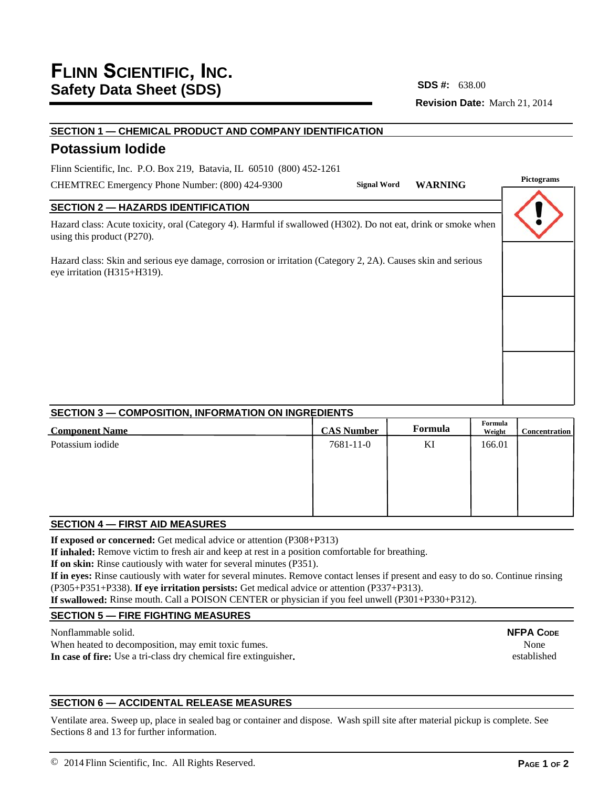**Revision Date:** March 21, 2014 **SDS #:**

# **SECTION 1 — CHEMICAL PRODUCT AND COMPANY IDENTIFICATION Potassium Iodide SECTION 2 — HAZARDS IDENTIFICATION** Hazard class: Acute toxicity, oral (Category 4). Harmful if swallowed (H302). Do not eat, drink or smoke when using this product (P270). Hazard class: Skin and serious eye damage, corrosion or irritation (Category 2, 2A). Causes skin and serious eye irritation (H315+H319). CHEMTREC Emergency Phone Number: (800) 424-9300 Flinn Scientific, Inc. P.O. Box 219, Batavia, IL 60510 (800) 452-1261 **Pictograms Signal Word WARNING**

## **SECTION 3 — COMPOSITION, INFORMATION ON INGREDIENTS**

| <b>Component Name</b> | <b>CAS Number</b> | Formula | Formula<br>Weight | <b>Concentration</b> |
|-----------------------|-------------------|---------|-------------------|----------------------|
| Potassium iodide      | 7681-11-0         | KI      | 166.01            |                      |
|                       |                   |         |                   |                      |
|                       |                   |         |                   |                      |
|                       |                   |         |                   |                      |
|                       |                   |         |                   |                      |

## **SECTION 4 — FIRST AID MEASURES**

**If exposed or concerned:** Get medical advice or attention (P308+P313)

**If inhaled:** Remove victim to fresh air and keep at rest in a position comfortable for breathing.

**If on skin:** Rinse cautiously with water for several minutes (P351).

**If in eyes:** Rinse cautiously with water for several minutes. Remove contact lenses if present and easy to do so. Continue rinsing (P305+P351+P338). **If eye irritation persists:** Get medical advice or attention (P337+P313).

**If swallowed:** Rinse mouth. Call a POISON CENTER or physician if you feel unwell (P301+P330+P312).

## **SECTION 5 — FIRE FIGHTING MEASURES**

Nonflammable solid.

When heated to decomposition, may emit toxic fumes. **In case of fire:** Use a tri-class dry chemical fire extinguisher**.**

## **SECTION 6 — ACCIDENTAL RELEASE MEASURES**

Ventilate area. Sweep up, place in sealed bag or container and dispose. Wash spill site after material pickup is complete. See Sections 8 and 13 for further information.

**NFPA CODE** None

established